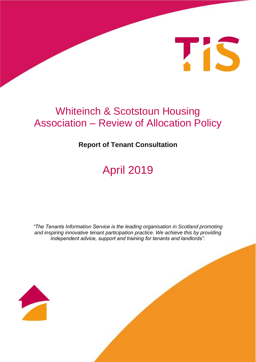

## Whiteinch & Scotstoun Housing Association – Review of Allocation Policy

### **Report of Tenant Consultation**

# April 2019

*"The Tenants Information Service is the leading organisation in Scotland promoting and inspiring innovative tenant participation practice. We achieve this by providing independent advice, support and training for tenants and landlords".*

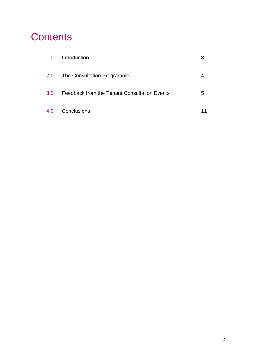## **Contents**

| 1.0 | Introduction                                 | 3  |
|-----|----------------------------------------------|----|
| 2.0 | The Consultation Programme                   |    |
| 3.0 | Feedback from the Tenant Consultation Events | 5  |
| 4.0 | Conclusions                                  | 11 |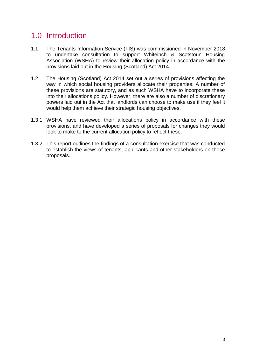## 1.0 Introduction

- 1.1 The Tenants Information Service (TIS) was commissioned in November 2018 to undertake consultation to support Whiteinch & Scotstoun Housing Association (WSHA) to review their allocation policy in accordance with the provisions laid out in the Housing (Scotland) Act 2014.
- 1.2 The Housing (Scotland) Act 2014 set out a series of provisions affecting the way in which social housing providers allocate their properties. A number of these provisions are statutory, and as such WSHA have to incorporate these into their allocations policy. However, there are also a number of discretionary powers laid out in the Act that landlords can choose to make use if they feel it would help them achieve their strategic housing objectives.
- 1.3.1 WSHA have reviewed their allocations policy in accordance with these provisions, and have developed a series of proposals for changes they would look to make to the current allocation policy to reflect these.
- 1.3.2 This report outlines the findings of a consultation exercise that was conducted to establish the views of tenants, applicants and other stakeholders on those proposals.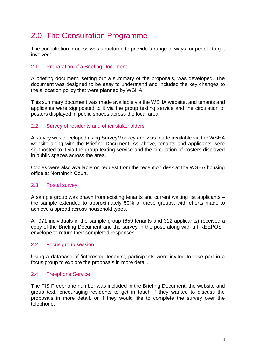## 2.0 The Consultation Programme

The consultation process was structured to provide a range of ways for people to get involved:

#### 2.1 Preparation of a Briefing Document

A briefing document, setting out a summary of the proposals, was developed. The document was designed to be easy to understand and included the key changes to the allocation policy that were planned by WSHA.

This summary document was made available via the WSHA website, and tenants and applicants were signposted to it via the group texting service and the circulation of posters displayed in public spaces across the local area.

#### 2.2 Survey of residents and other stakeholders

A survey was developed using SurveyMonkey and was made available via the WSHA website along with the Briefing Document. As above, tenants and applicants were signposted to it via the group texting service and the circulation of posters displayed in public spaces across the area.

Copies were also available on request from the reception desk at the WSHA housing office at Northinch Court.

#### 2.3 Postal survey

A sample group was drawn from existing tenants and current waiting list applicants – the sample extended to approximately 50% of these groups, with efforts made to achieve a spread across household types.

All 971 individuals in the sample group (659 tenants and 312 applicants) received a copy of the Briefing Document and the survey in the post, along with a FREEPOST envelope to return their completed responses.

#### 2.2 Focus group session

Using a database of 'interested tenants', participants were invited to take part in a focus group to explore the proposals in more detail.

#### 2.4 Freephone Service

The TIS Freephone number was included in the Briefing Document, the website and group text, encouraging residents to get in touch if they wanted to discuss the proposals in more detail, or if they would like to complete the survey over the telephone.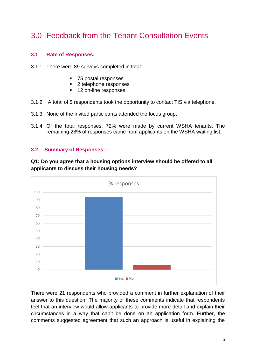## 3.0 Feedback from the Tenant Consultation Events

#### **3.1 Rate of Responses:**

- 3.1.1 There were 89 surveys completed in total:
	- 75 postal responses
	- 2 telephone responses
	- 12 on-line responses
- 3.1.2 A total of 5 respondents took the opportunity to contact TIS via telephone.
- 3.1.3 None of the invited participants attended the focus group.
- 3.1.4 Of the total responses, 72% were made by current WSHA tenants. The remaining 28% of responses came from applicants on the WSHA waiting list.

#### **3.2 Summary of Responses :**

**Q1: Do you agree that a housing options interview should be offered to all applicants to discuss their housing needs?**



There were 21 respondents who provided a comment in further explanation of their answer to this question. The majority of these comments indicate that respondents feel that an interview would allow applicants to provide more detail and explain their circumstances in a way that can't be done on an application form. Further, the comments suggested agreement that such an approach is useful in explaining the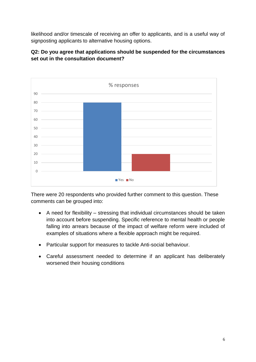likelihood and/or timescale of receiving an offer to applicants, and is a useful way of signposting applicants to alternative housing options.



#### **Q2: Do you agree that applications should be suspended for the circumstances set out in the consultation document?**

There were 20 respondents who provided further comment to this question. These comments can be grouped into:

- A need for flexibility stressing that individual circumstances should be taken into account before suspending. Specific reference to mental health or people falling into arrears because of the impact of welfare reform were included of examples of situations where a flexible approach might be required.
- Particular support for measures to tackle Anti-social behaviour.
- Careful assessment needed to determine if an applicant has deliberately worsened their housing conditions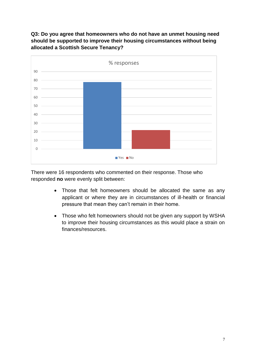#### **Q3: Do you agree that homeowners who do not have an unmet housing need should be supported to improve their housing circumstances without being allocated a Scottish Secure Tenancy?**



There were 16 respondents who commented on their response. Those who responded **no** were evenly split between:

- Those that felt homeowners should be allocated the same as any applicant or where they are in circumstances of ill-health or financial pressure that mean they can't remain in their home.
- Those who felt homeowners should not be given any support by WSHA to improve their housing circumstances as this would place a strain on finances/resources.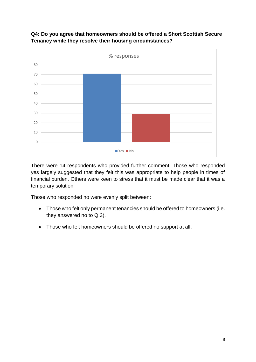

#### **Q4: Do you agree that homeowners should be offered a Short Scottish Secure Tenancy while they resolve their housing circumstances?**

There were 14 respondents who provided further comment. Those who responded yes largely suggested that they felt this was appropriate to help people in times of financial burden. Others were keen to stress that it must be made clear that it was a temporary solution.

Those who responded no were evenly split between:

- Those who felt only permanent tenancies should be offered to homeowners (i.e. they answered no to Q.3).
- Those who felt homeowners should be offered no support at all.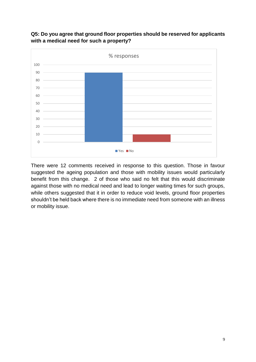

**Q5: Do you agree that ground floor properties should be reserved for applicants with a medical need for such a property?**

There were 12 comments received in response to this question. Those in favour suggested the ageing population and those with mobility issues would particularly benefit from this change. 2 of those who said no felt that this would discriminate against those with no medical need and lead to longer waiting times for such groups, while others suggested that it in order to reduce void levels, ground floor properties shouldn't be held back where there is no immediate need from someone with an illness or mobility issue.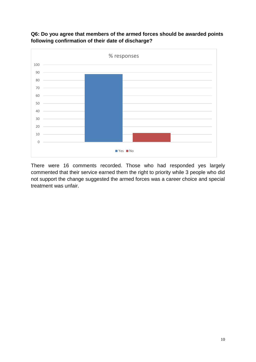

**Q6: Do you agree that members of the armed forces should be awarded points following confirmation of their date of discharge?**

There were 16 comments recorded. Those who had responded yes largely commented that their service earned them the right to priority while 3 people who did not support the change suggested the armed forces was a career choice and special treatment was unfair.